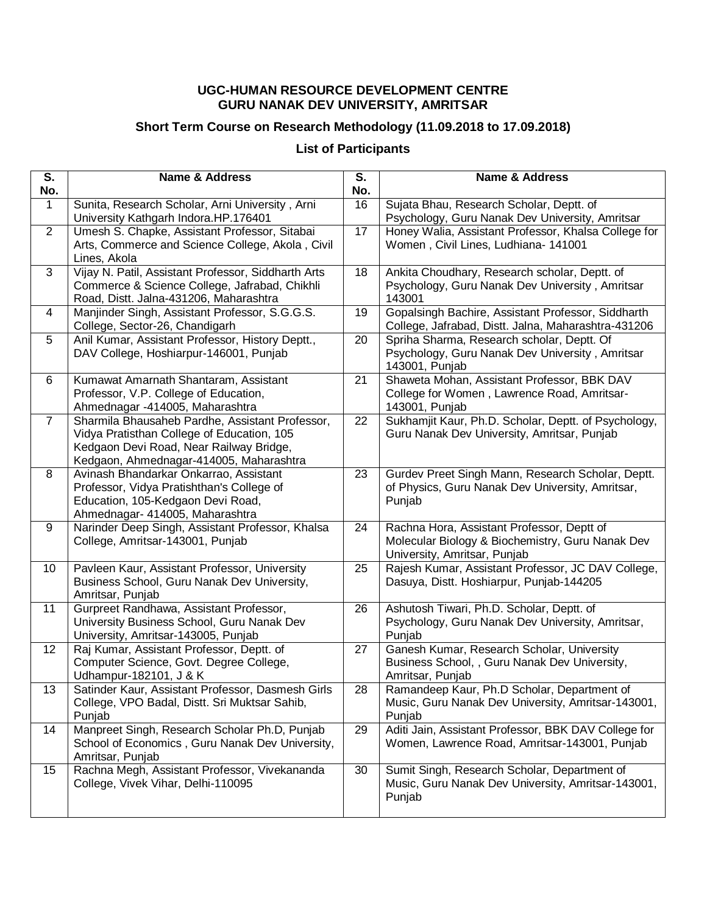## **UGC-HUMAN RESOURCE DEVELOPMENT CENTRE GURU NANAK DEV UNIVERSITY, AMRITSAR**

## **Short Term Course on Research Methodology (11.09.2018 to 17.09.2018)**

## **List of Participants**

| $\overline{\mathsf{s}}$ .<br>No. | <b>Name &amp; Address</b>                                                                     | S.<br>No. | <b>Name &amp; Address</b>                                                                           |
|----------------------------------|-----------------------------------------------------------------------------------------------|-----------|-----------------------------------------------------------------------------------------------------|
| 1                                | Sunita, Research Scholar, Arni University, Arni                                               | 16        | Sujata Bhau, Research Scholar, Deptt. of                                                            |
|                                  | University Kathgarh Indora.HP.176401                                                          |           | Psychology, Guru Nanak Dev University, Amritsar                                                     |
| $\overline{2}$                   | Umesh S. Chapke, Assistant Professor, Sitabai                                                 | 17        | Honey Walia, Assistant Professor, Khalsa College for                                                |
|                                  | Arts, Commerce and Science College, Akola, Civil                                              |           | Women, Civil Lines, Ludhiana- 141001                                                                |
| 3                                | Lines, Akola<br>Vijay N. Patil, Assistant Professor, Siddharth Arts                           | 18        | Ankita Choudhary, Research scholar, Deptt. of                                                       |
|                                  | Commerce & Science College, Jafrabad, Chikhli                                                 |           | Psychology, Guru Nanak Dev University, Amritsar                                                     |
|                                  | Road, Distt. Jalna-431206, Maharashtra                                                        |           | 143001                                                                                              |
| $\overline{4}$                   | Manjinder Singh, Assistant Professor, S.G.G.S.                                                | 19        | Gopalsingh Bachire, Assistant Professor, Siddharth                                                  |
|                                  | College, Sector-26, Chandigarh                                                                |           | College, Jafrabad, Distt. Jalna, Maharashtra-431206                                                 |
| 5                                | Anil Kumar, Assistant Professor, History Deptt.,<br>DAV College, Hoshiarpur-146001, Punjab    | 20        | Spriha Sharma, Research scholar, Deptt. Of<br>Psychology, Guru Nanak Dev University, Amritsar       |
|                                  |                                                                                               |           | 143001, Punjab                                                                                      |
| 6                                | Kumawat Amarnath Shantaram, Assistant                                                         | 21        | Shaweta Mohan, Assistant Professor, BBK DAV                                                         |
|                                  | Professor, V.P. College of Education,                                                         |           | College for Women, Lawrence Road, Amritsar-                                                         |
|                                  | Ahmednagar -414005, Maharashtra                                                               |           | 143001, Punjab                                                                                      |
| $\overline{7}$                   | Sharmila Bhausaheb Pardhe, Assistant Professor,<br>Vidya Pratisthan College of Education, 105 | 22        | Sukhamjit Kaur, Ph.D. Scholar, Deptt. of Psychology,<br>Guru Nanak Dev University, Amritsar, Punjab |
|                                  | Kedgaon Devi Road, Near Railway Bridge,                                                       |           |                                                                                                     |
|                                  | Kedgaon, Ahmednagar-414005, Maharashtra                                                       |           |                                                                                                     |
| 8                                | Avinash Bhandarkar Onkarrao, Assistant                                                        | 23        | Gurdev Preet Singh Mann, Research Scholar, Deptt.                                                   |
|                                  | Professor, Vidya Pratishthan's College of                                                     |           | of Physics, Guru Nanak Dev University, Amritsar,                                                    |
|                                  | Education, 105-Kedgaon Devi Road,                                                             |           | Punjab                                                                                              |
| 9                                | Ahmednagar- 414005, Maharashtra<br>Narinder Deep Singh, Assistant Professor, Khalsa           | 24        | Rachna Hora, Assistant Professor, Deptt of                                                          |
|                                  | College, Amritsar-143001, Punjab                                                              |           | Molecular Biology & Biochemistry, Guru Nanak Dev                                                    |
|                                  |                                                                                               |           | University, Amritsar, Punjab                                                                        |
| 10 <sup>°</sup>                  | Pavleen Kaur, Assistant Professor, University                                                 | 25        | Rajesh Kumar, Assistant Professor, JC DAV College,                                                  |
|                                  | Business School, Guru Nanak Dev University,<br>Amritsar, Punjab                               |           | Dasuya, Distt. Hoshiarpur, Punjab-144205                                                            |
| 11                               | Gurpreet Randhawa, Assistant Professor,                                                       | 26        | Ashutosh Tiwari, Ph.D. Scholar, Deptt. of                                                           |
|                                  | University Business School, Guru Nanak Dev                                                    |           | Psychology, Guru Nanak Dev University, Amritsar,                                                    |
|                                  | University, Amritsar-143005, Punjab                                                           |           | Punjab                                                                                              |
| 12                               | Raj Kumar, Assistant Professor, Deptt. of                                                     | 27        | Ganesh Kumar, Research Scholar, University                                                          |
|                                  | Computer Science, Govt. Degree College,<br>Udhampur-182101, J & K                             |           | Business School, , Guru Nanak Dev University,<br>Amritsar, Punjab                                   |
| 13                               | Satinder Kaur, Assistant Professor, Dasmesh Girls                                             | 28        | Ramandeep Kaur, Ph.D Scholar, Department of                                                         |
|                                  | College, VPO Badal, Distt. Sri Muktsar Sahib,                                                 |           | Music, Guru Nanak Dev University, Amritsar-143001,                                                  |
|                                  | Punjab                                                                                        |           | Punjab                                                                                              |
| 14                               | Manpreet Singh, Research Scholar Ph.D, Punjab                                                 | 29        | Aditi Jain, Assistant Professor, BBK DAV College for                                                |
|                                  | School of Economics, Guru Nanak Dev University,                                               |           | Women, Lawrence Road, Amritsar-143001, Punjab                                                       |
| 15                               | Amritsar, Punjab<br>Rachna Megh, Assistant Professor, Vivekananda                             | 30        | Sumit Singh, Research Scholar, Department of                                                        |
|                                  | College, Vivek Vihar, Delhi-110095                                                            |           | Music, Guru Nanak Dev University, Amritsar-143001,                                                  |
|                                  |                                                                                               |           | Punjab                                                                                              |
|                                  |                                                                                               |           |                                                                                                     |